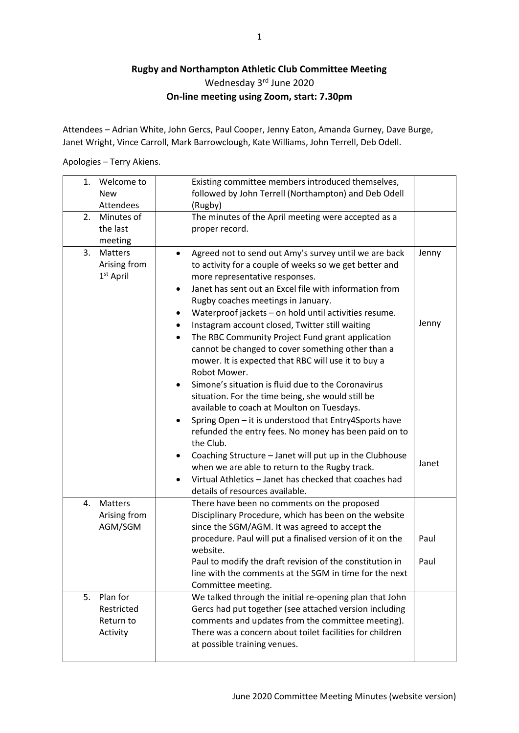## **Rugby and Northampton Athletic Club Committee Meeting** Wednesday 3rd June 2020 **On-line meeting using Zoom, start: 7.30pm**

Attendees – Adrian White, John Gercs, Paul Cooper, Jenny Eaton, Amanda Gurney, Dave Burge, Janet Wright, Vince Carroll, Mark Barrowclough, Kate Williams, John Terrell, Deb Odell.

Apologies – Terry Akiens.

| 1. | Welcome to<br><b>New</b><br>Attendees           | Existing committee members introduced themselves,<br>followed by John Terrell (Northampton) and Deb Odell<br>(Rugby)                                                                                                                                                                                                                                                                                                                                                                                                                                                                                                                                                                                                                                                                                                                                                                                                                                                                                                                                                                                                                            |                         |
|----|-------------------------------------------------|-------------------------------------------------------------------------------------------------------------------------------------------------------------------------------------------------------------------------------------------------------------------------------------------------------------------------------------------------------------------------------------------------------------------------------------------------------------------------------------------------------------------------------------------------------------------------------------------------------------------------------------------------------------------------------------------------------------------------------------------------------------------------------------------------------------------------------------------------------------------------------------------------------------------------------------------------------------------------------------------------------------------------------------------------------------------------------------------------------------------------------------------------|-------------------------|
| 2. | Minutes of<br>the last<br>meeting               | The minutes of the April meeting were accepted as a<br>proper record.                                                                                                                                                                                                                                                                                                                                                                                                                                                                                                                                                                                                                                                                                                                                                                                                                                                                                                                                                                                                                                                                           |                         |
| 3. | Matters<br>Arising from<br>$1st$ April          | Agreed not to send out Amy's survey until we are back<br>$\bullet$<br>to activity for a couple of weeks so we get better and<br>more representative responses.<br>Janet has sent out an Excel file with information from<br>$\bullet$<br>Rugby coaches meetings in January.<br>Waterproof jackets - on hold until activities resume.<br>$\bullet$<br>Instagram account closed, Twitter still waiting<br>The RBC Community Project Fund grant application<br>$\bullet$<br>cannot be changed to cover something other than a<br>mower. It is expected that RBC will use it to buy a<br>Robot Mower.<br>Simone's situation is fluid due to the Coronavirus<br>$\bullet$<br>situation. For the time being, she would still be<br>available to coach at Moulton on Tuesdays.<br>Spring Open - it is understood that Entry4Sports have<br>$\bullet$<br>refunded the entry fees. No money has been paid on to<br>the Club.<br>Coaching Structure - Janet will put up in the Clubhouse<br>٠<br>when we are able to return to the Rugby track.<br>Virtual Athletics - Janet has checked that coaches had<br>$\bullet$<br>details of resources available. | Jenny<br>Jenny<br>Janet |
| 4. | Matters<br>Arising from<br>AGM/SGM              | There have been no comments on the proposed<br>Disciplinary Procedure, which has been on the website<br>since the SGM/AGM. It was agreed to accept the<br>procedure. Paul will put a finalised version of it on the<br>website.<br>Paul to modify the draft revision of the constitution in<br>line with the comments at the SGM in time for the next<br>Committee meeting.                                                                                                                                                                                                                                                                                                                                                                                                                                                                                                                                                                                                                                                                                                                                                                     | Paul<br>Paul            |
| 5. | Plan for<br>Restricted<br>Return to<br>Activity | We talked through the initial re-opening plan that John<br>Gercs had put together (see attached version including<br>comments and updates from the committee meeting).<br>There was a concern about toilet facilities for children<br>at possible training venues.                                                                                                                                                                                                                                                                                                                                                                                                                                                                                                                                                                                                                                                                                                                                                                                                                                                                              |                         |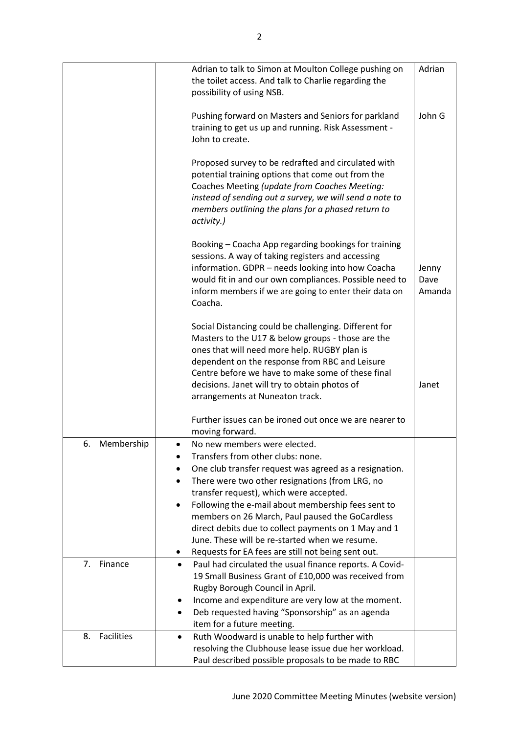|                  | Adrian to talk to Simon at Moulton College pushing on<br>the toilet access. And talk to Charlie regarding the<br>possibility of using NSB.                                                                                                                                                                                                                                                                                                                                                                           | Adrian                  |
|------------------|----------------------------------------------------------------------------------------------------------------------------------------------------------------------------------------------------------------------------------------------------------------------------------------------------------------------------------------------------------------------------------------------------------------------------------------------------------------------------------------------------------------------|-------------------------|
|                  | Pushing forward on Masters and Seniors for parkland<br>training to get us up and running. Risk Assessment -<br>John to create.                                                                                                                                                                                                                                                                                                                                                                                       | John G                  |
|                  | Proposed survey to be redrafted and circulated with<br>potential training options that come out from the<br>Coaches Meeting (update from Coaches Meeting:<br>instead of sending out a survey, we will send a note to<br>members outlining the plans for a phased return to<br>activity.)                                                                                                                                                                                                                             |                         |
|                  | Booking - Coacha App regarding bookings for training<br>sessions. A way of taking registers and accessing<br>information. GDPR - needs looking into how Coacha<br>would fit in and our own compliances. Possible need to<br>inform members if we are going to enter their data on<br>Coacha.                                                                                                                                                                                                                         | Jenny<br>Dave<br>Amanda |
|                  | Social Distancing could be challenging. Different for<br>Masters to the U17 & below groups - those are the<br>ones that will need more help. RUGBY plan is<br>dependent on the response from RBC and Leisure<br>Centre before we have to make some of these final<br>decisions. Janet will try to obtain photos of<br>arrangements at Nuneaton track.                                                                                                                                                                | Janet                   |
|                  | Further issues can be ironed out once we are nearer to<br>moving forward.                                                                                                                                                                                                                                                                                                                                                                                                                                            |                         |
| Membership<br>6. | No new members were elected.<br>$\bullet$<br>Transfers from other clubs: none.<br>One club transfer request was agreed as a resignation.<br>There were two other resignations (from LRG, no<br>transfer request), which were accepted.<br>Following the e-mail about membership fees sent to<br>٠<br>members on 26 March, Paul paused the GoCardless<br>direct debits due to collect payments on 1 May and 1<br>June. These will be re-started when we resume.<br>Requests for EA fees are still not being sent out. |                         |
| Finance<br>7.    | Paul had circulated the usual finance reports. A Covid-<br>$\bullet$<br>19 Small Business Grant of £10,000 was received from<br>Rugby Borough Council in April.<br>Income and expenditure are very low at the moment.<br>Deb requested having "Sponsorship" as an agenda<br>item for a future meeting.                                                                                                                                                                                                               |                         |
| Facilities<br>8. | Ruth Woodward is unable to help further with<br>$\bullet$<br>resolving the Clubhouse lease issue due her workload.<br>Paul described possible proposals to be made to RBC                                                                                                                                                                                                                                                                                                                                            |                         |